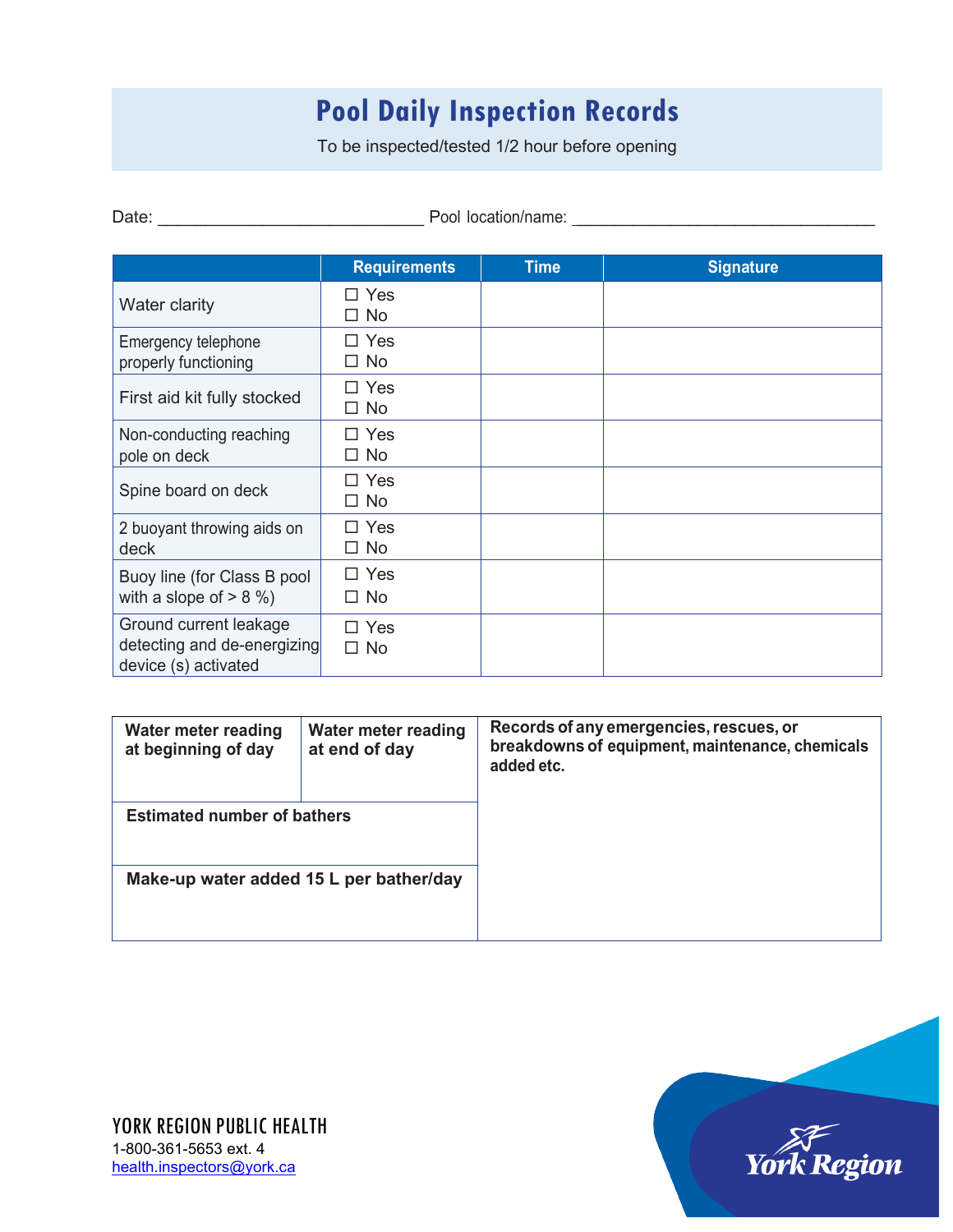## **Pool Daily Inspection Records**

To be inspected/tested 1/2 hour before opening

Date: \_\_\_\_\_\_\_\_\_\_\_\_\_\_\_\_\_\_\_\_\_\_\_\_\_\_\_\_ Pool location/name: \_\_\_\_\_\_\_\_\_\_\_\_\_\_\_\_\_\_\_\_\_\_\_\_\_\_\_\_\_\_\_\_

|                                                                               | <b>Requirements</b>     | <b>Time</b> | <b>Signature</b> |
|-------------------------------------------------------------------------------|-------------------------|-------------|------------------|
| Water clarity                                                                 | $\Box$ Yes<br>$\Box$ No |             |                  |
| Emergency telephone<br>properly functioning                                   | $\Box$ Yes<br>$\Box$ No |             |                  |
| First aid kit fully stocked                                                   | $\Box$ Yes<br>$\Box$ No |             |                  |
| Non-conducting reaching<br>pole on deck                                       | $\Box$ Yes<br>$\Box$ No |             |                  |
| Spine board on deck                                                           | $\Box$ Yes<br>$\Box$ No |             |                  |
| 2 buoyant throwing aids on<br>deck                                            | $\Box$ Yes<br>$\Box$ No |             |                  |
| Buoy line (for Class B pool<br>with a slope of $> 8\%$ )                      | $\Box$ Yes<br>$\Box$ No |             |                  |
| Ground current leakage<br>detecting and de-energizing<br>device (s) activated | $\Box$ Yes<br>$\Box$ No |             |                  |

| Water meter reading<br>at beginning of day | Water meter reading<br>at end of day | Records of any emergencies, rescues, or<br>breakdowns of equipment, maintenance, chemicals<br>added etc. |
|--------------------------------------------|--------------------------------------|----------------------------------------------------------------------------------------------------------|
| <b>Estimated number of bathers</b>         |                                      |                                                                                                          |
| Make-up water added 15 L per bather/day    |                                      |                                                                                                          |

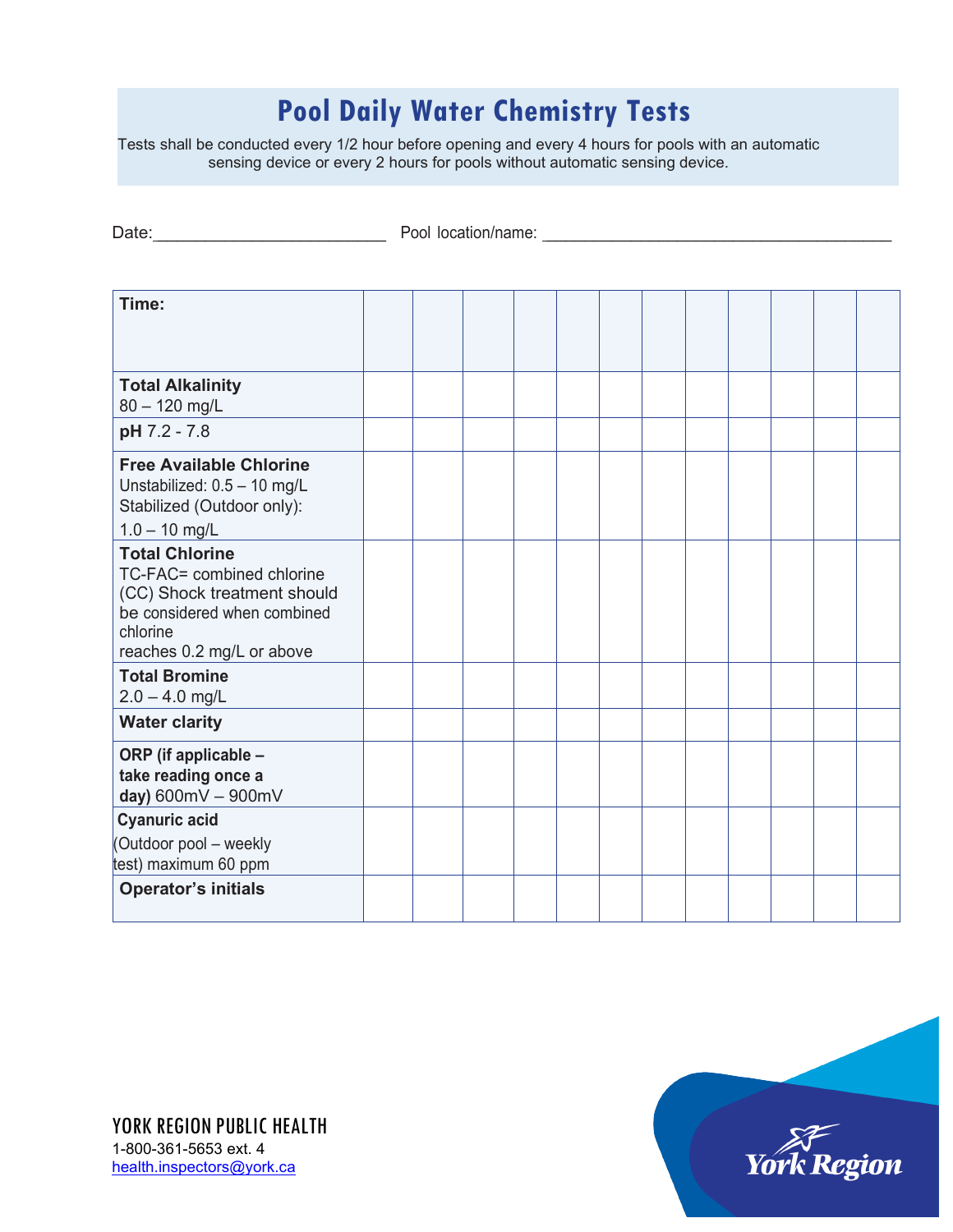## **Pool Daily Water Chemistry Tests**

Tests shall be conducted every 1/2 hour before opening and every 4 hours for pools with an automatic sensing device or every 2 hours for pools without automatic sensing device.

Date: \_\_\_\_\_\_\_\_\_\_\_\_\_\_\_\_\_\_\_\_\_\_\_\_ Pool location/name: \_\_\_\_\_\_\_\_\_\_\_\_\_\_\_\_\_\_\_\_\_\_\_\_\_\_\_\_\_\_\_\_\_\_\_\_\_

| Time:                                                                                                                                                     |  |  |  |  |  |  |
|-----------------------------------------------------------------------------------------------------------------------------------------------------------|--|--|--|--|--|--|
|                                                                                                                                                           |  |  |  |  |  |  |
|                                                                                                                                                           |  |  |  |  |  |  |
| <b>Total Alkalinity</b><br>$80 - 120$ mg/L                                                                                                                |  |  |  |  |  |  |
| pH 7.2 - 7.8                                                                                                                                              |  |  |  |  |  |  |
| <b>Free Available Chlorine</b><br>Unstabilized: 0.5 - 10 mg/L<br>Stabilized (Outdoor only):<br>$1.0 - 10$ mg/L                                            |  |  |  |  |  |  |
| <b>Total Chlorine</b><br>TC-FAC= combined chlorine<br>(CC) Shock treatment should<br>be considered when combined<br>chlorine<br>reaches 0.2 mg/L or above |  |  |  |  |  |  |
| <b>Total Bromine</b><br>$2.0 - 4.0$ mg/L                                                                                                                  |  |  |  |  |  |  |
| <b>Water clarity</b>                                                                                                                                      |  |  |  |  |  |  |
| ORP (if applicable -<br>take reading once a<br>day) 600mV - 900mV                                                                                         |  |  |  |  |  |  |
| <b>Cyanuric acid</b><br>(Outdoor pool - weekly<br>test) maximum 60 ppm                                                                                    |  |  |  |  |  |  |
| <b>Operator's initials</b>                                                                                                                                |  |  |  |  |  |  |

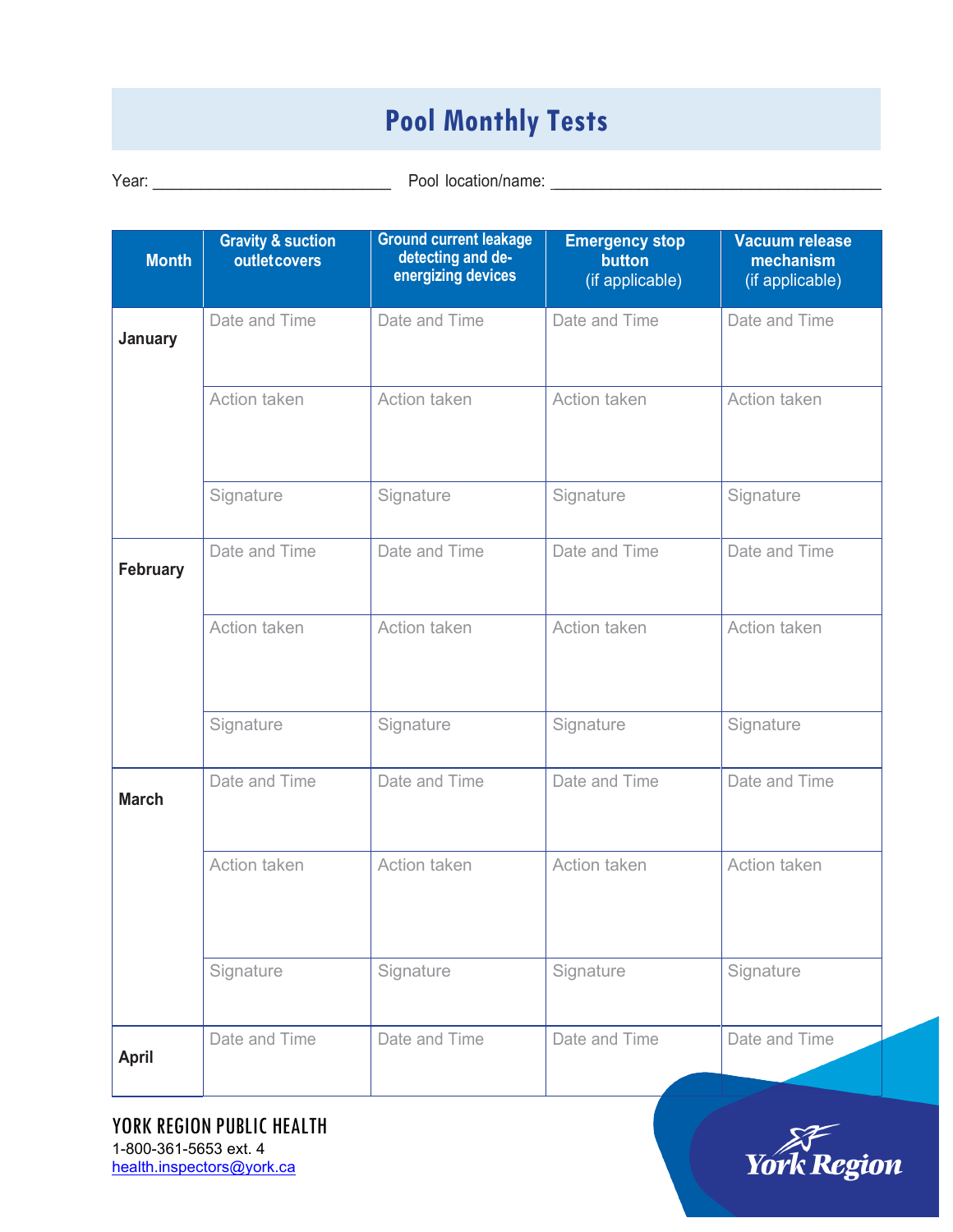## **Pool Monthly Tests**

Year: \_\_\_\_\_\_\_\_\_\_\_\_\_\_\_\_\_\_\_\_\_\_\_\_\_ Pool location/name: \_\_\_\_\_\_\_\_\_\_\_\_\_\_\_\_\_\_\_\_\_\_\_\_\_\_\_\_\_\_\_\_\_\_\_

| <b>Month</b>    | <b>Gravity &amp; suction</b><br>outletcovers | <b>Ground current leakage</b><br>detecting and de-<br>energizing devices | <b>Emergency stop</b><br>button<br>(if applicable) | <b>Vacuum release</b><br>mechanism<br>(if applicable) |
|-----------------|----------------------------------------------|--------------------------------------------------------------------------|----------------------------------------------------|-------------------------------------------------------|
| <b>January</b>  | Date and Time                                | Date and Time                                                            | Date and Time                                      | Date and Time                                         |
|                 | Action taken                                 | Action taken                                                             | Action taken                                       | Action taken                                          |
|                 | Signature                                    | Signature                                                                | Signature                                          | Signature                                             |
| <b>February</b> | Date and Time                                | Date and Time                                                            | Date and Time                                      | Date and Time                                         |
|                 | Action taken                                 | Action taken                                                             | Action taken                                       | Action taken                                          |
|                 | Signature                                    | Signature                                                                | Signature                                          | Signature                                             |
| <b>March</b>    | Date and Time                                | Date and Time                                                            | Date and Time                                      | Date and Time                                         |
|                 | Action taken                                 | Action taken                                                             | Action taken                                       | Action taken                                          |
|                 | Signature                                    | Signature                                                                | Signature                                          | Signature                                             |
| April           | Date and Time                                | Date and Time                                                            | Date and Time                                      | Date and Time                                         |

YORK REGION PUBLIC HEALTH 1-800-361-5653 ext. 4 [health.inspectors@york.ca](mailto:health.inspectors@york.ca)

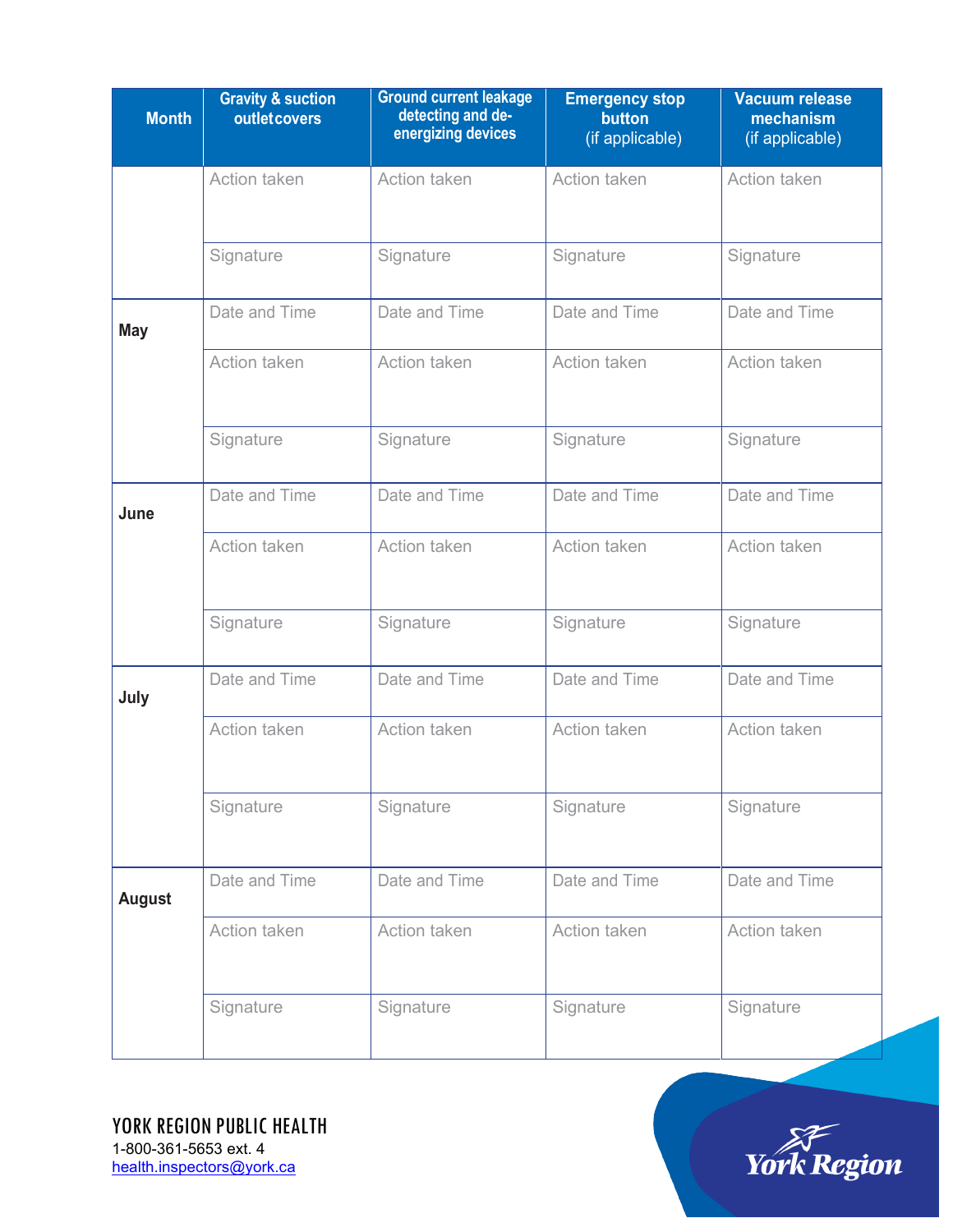| <b>Month</b>  | <b>Gravity &amp; suction</b><br>outletcovers | <b>Ground current leakage</b><br>detecting and de-<br>energizing devices | <b>Emergency stop</b><br>button<br>(if applicable) | <b>Vacuum release</b><br>mechanism<br>(if applicable) |  |
|---------------|----------------------------------------------|--------------------------------------------------------------------------|----------------------------------------------------|-------------------------------------------------------|--|
|               | Action taken                                 | Action taken                                                             | Action taken                                       | Action taken                                          |  |
|               | Signature                                    | Signature                                                                | Signature                                          | Signature                                             |  |
| <b>May</b>    | Date and Time                                | Date and Time                                                            | Date and Time                                      | Date and Time                                         |  |
|               | Action taken                                 | Action taken                                                             | Action taken                                       | Action taken                                          |  |
|               | Signature                                    | Signature                                                                | Signature                                          | Signature                                             |  |
| June          | Date and Time                                | Date and Time                                                            | Date and Time                                      | Date and Time                                         |  |
|               | Action taken                                 | Action taken                                                             | Action taken                                       | Action taken                                          |  |
|               | Signature                                    | Signature                                                                | Signature                                          | Signature                                             |  |
| July          | Date and Time                                | Date and Time                                                            | Date and Time                                      | Date and Time                                         |  |
|               | Action taken                                 | Action taken                                                             | Action taken                                       | Action taken                                          |  |
|               | Signature                                    | Signature                                                                | Signature                                          | Signature                                             |  |
| <b>August</b> | Date and Time                                | Date and Time                                                            | Date and Time                                      | Date and Time                                         |  |
|               | Action taken                                 | Action taken                                                             | Action taken                                       | Action taken                                          |  |
|               | Signature                                    | Signature                                                                | Signature                                          | Signature                                             |  |